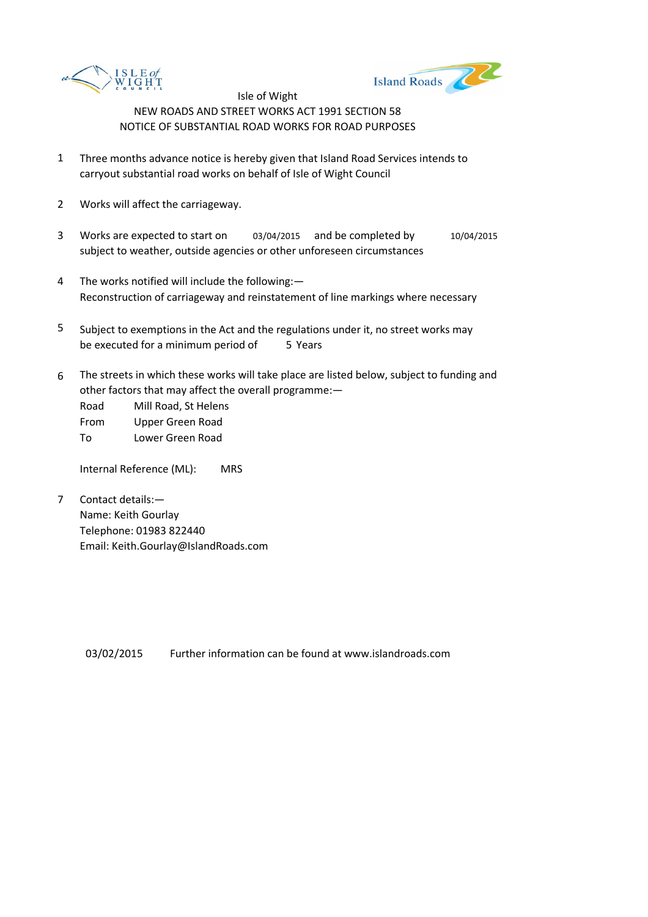



- 1 Three months advance notice is hereby given that Island Road Services intends to carryout substantial road works on behalf of Isle of Wight Council
- 2 Works will affect the carriageway.
- 3 Works are expected to start on 03/04/2015 and be completed by 10/04/2015 subject to weather, outside agencies or other unforeseen circumstances
- 4 The works notified will include the following:— Reconstruction of carriageway and reinstatement of line markings where necessary
- 5 be executed for a minimum period of 5 Years Subject to exemptions in the Act and the regulations under it, no street works may
- 6 The streets in which these works will take place are listed below, subject to funding and other factors that may affect the overall programme:—

Road Mill Road, St Helens From Upper Green Road To Lower Green Road

Internal Reference (ML): MRS

7 Contact details:— Name: Keith Gourlay Telephone: 01983 822440 Email: Keith.Gourlay@IslandRoads.com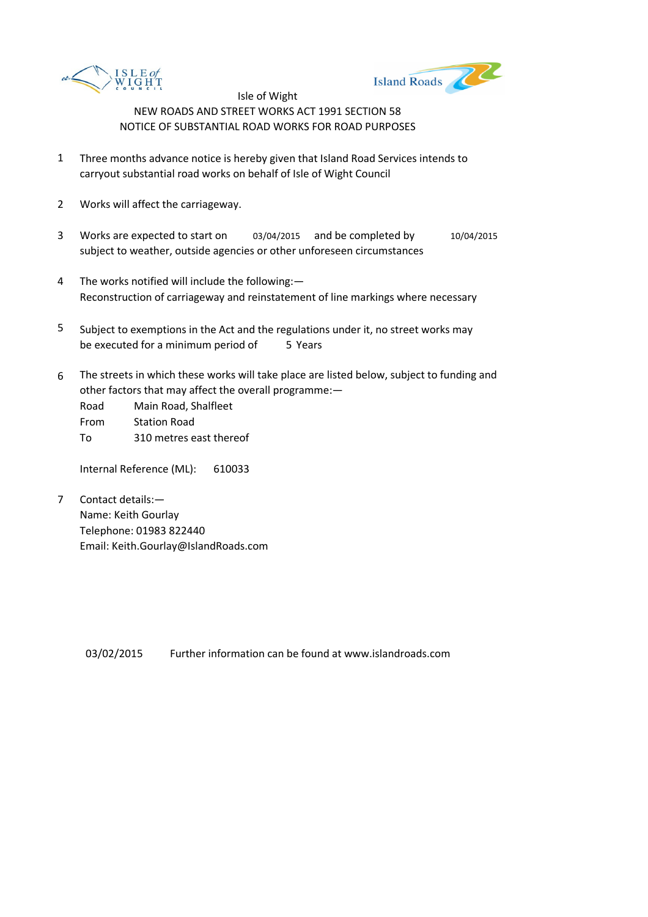



- 1 Three months advance notice is hereby given that Island Road Services intends to carryout substantial road works on behalf of Isle of Wight Council
- 2 Works will affect the carriageway.
- 3 Works are expected to start on 03/04/2015 and be completed by 10/04/2015 subject to weather, outside agencies or other unforeseen circumstances
- 4 The works notified will include the following:— Reconstruction of carriageway and reinstatement of line markings where necessary
- 5 be executed for a minimum period of 5 Years Subject to exemptions in the Act and the regulations under it, no street works may
- 6 The streets in which these works will take place are listed below, subject to funding and other factors that may affect the overall programme:—

Road Main Road, Shalfleet From Station Road To 310 metres east thereof

Internal Reference (ML): 610033

7 Contact details:— Name: Keith Gourlay Telephone: 01983 822440 Email: Keith.Gourlay@IslandRoads.com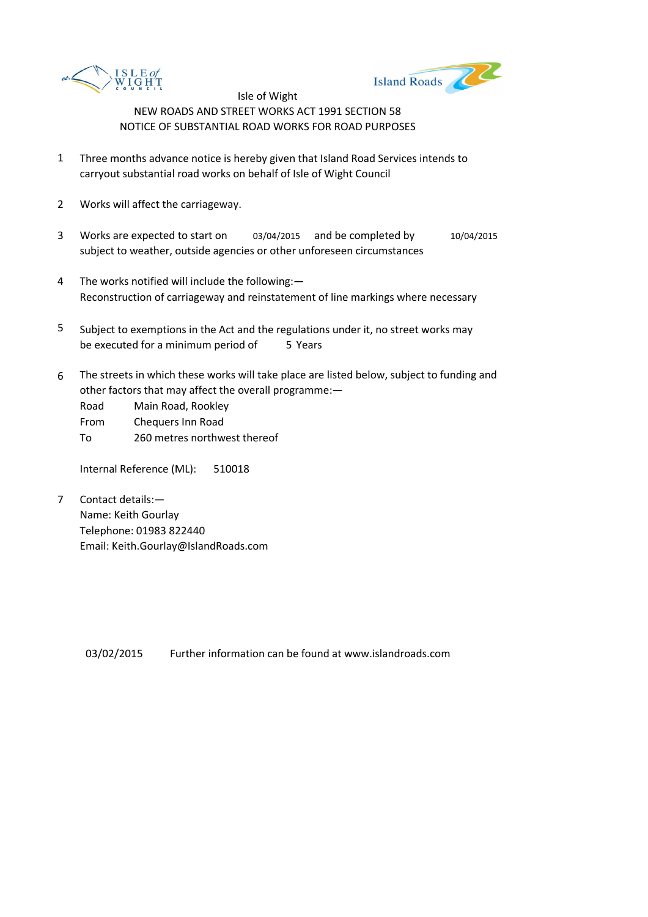



- 1 Three months advance notice is hereby given that Island Road Services intends to carryout substantial road works on behalf of Isle of Wight Council
- 2 Works will affect the carriageway.
- 3 Works are expected to start on 03/04/2015 and be completed by 10/04/2015 subject to weather, outside agencies or other unforeseen circumstances
- 4 The works notified will include the following:— Reconstruction of carriageway and reinstatement of line markings where necessary
- 5 be executed for a minimum period of 5 Years Subject to exemptions in the Act and the regulations under it, no street works may
- 6 The streets in which these works will take place are listed below, subject to funding and other factors that may affect the overall programme:—

Road Main Road, Rookley From Chequers Inn Road To 260 metres northwest thereof

Internal Reference (ML): 510018

7 Contact details:— Name: Keith Gourlay Telephone: 01983 822440 Email: Keith.Gourlay@IslandRoads.com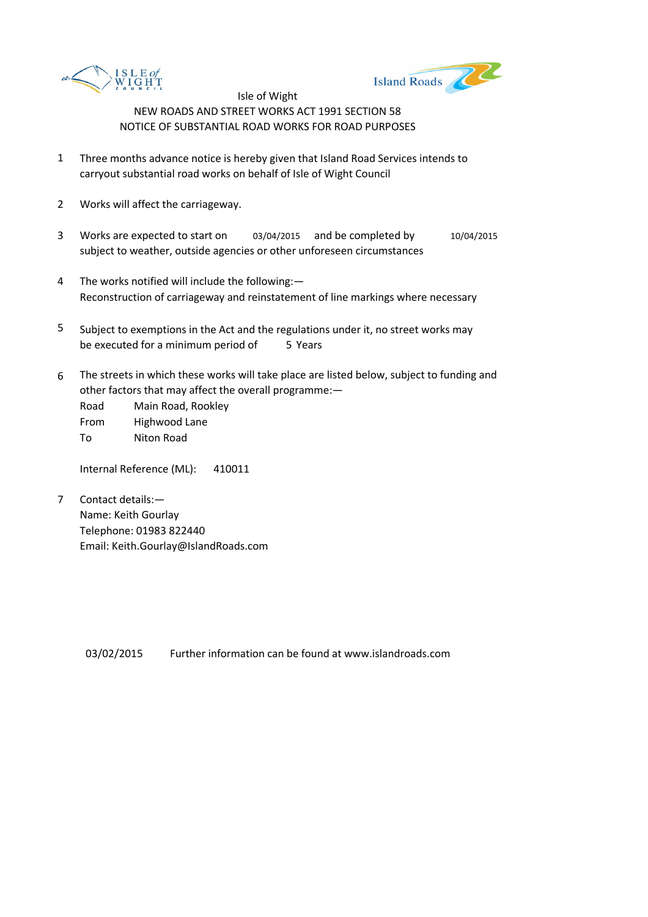



- 1 Three months advance notice is hereby given that Island Road Services intends to carryout substantial road works on behalf of Isle of Wight Council
- 2 Works will affect the carriageway.
- 3 Works are expected to start on 03/04/2015 and be completed by 10/04/2015 subject to weather, outside agencies or other unforeseen circumstances
- 4 The works notified will include the following:— Reconstruction of carriageway and reinstatement of line markings where necessary
- 5 be executed for a minimum period of 5 Years Subject to exemptions in the Act and the regulations under it, no street works may
- 6 The streets in which these works will take place are listed below, subject to funding and other factors that may affect the overall programme:—

Road Main Road, Rookley From Highwood Lane

To Niton Road

Internal Reference (ML): 410011

7 Contact details:— Name: Keith Gourlay Telephone: 01983 822440 Email: Keith.Gourlay@IslandRoads.com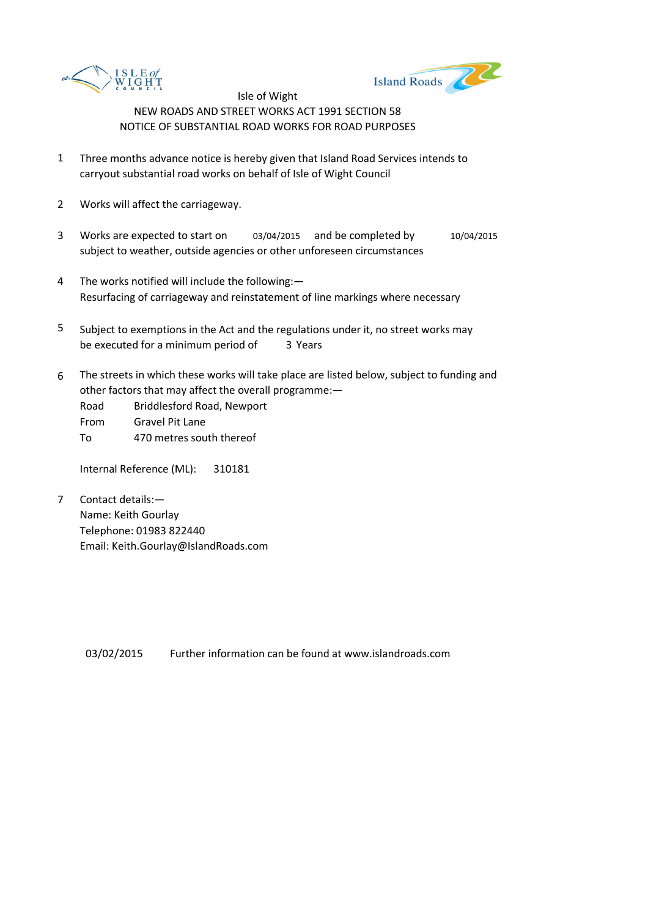



- 1 Three months advance notice is hereby given that Island Road Services intends to carryout substantial road works on behalf of Isle of Wight Council
- 2 Works will affect the carriageway.
- 3 Works are expected to start on 03/04/2015 and be completed by 10/04/2015 subject to weather, outside agencies or other unforeseen circumstances
- 4 The works notified will include the following:— Resurfacing of carriageway and reinstatement of line markings where necessary
- 5 be executed for a minimum period of 3 Years Subject to exemptions in the Act and the regulations under it, no street works may
- 6 The streets in which these works will take place are listed below, subject to funding and other factors that may affect the overall programme:—
	- Road Briddlesford Road, Newport
	- From Gravel Pit Lane
	- To 470 metres south thereof

Internal Reference (ML): 310181

7 Contact details:— Name: Keith Gourlay Telephone: 01983 822440 Email: Keith.Gourlay@IslandRoads.com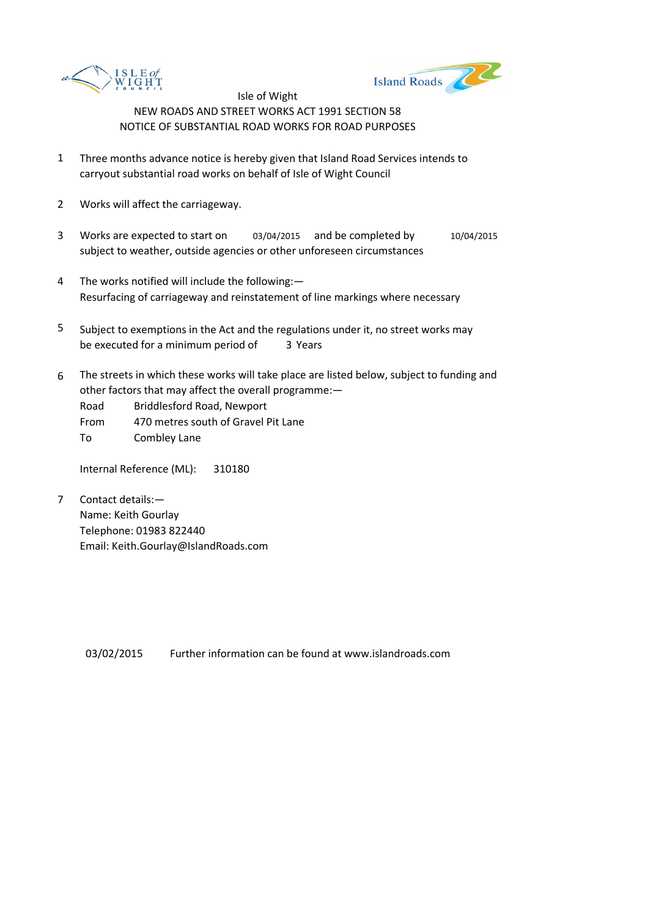



- 1 Three months advance notice is hereby given that Island Road Services intends to carryout substantial road works on behalf of Isle of Wight Council
- 2 Works will affect the carriageway.
- 3 Works are expected to start on 03/04/2015 and be completed by 10/04/2015 subject to weather, outside agencies or other unforeseen circumstances
- 4 The works notified will include the following:— Resurfacing of carriageway and reinstatement of line markings where necessary
- 5 be executed for a minimum period of 3 Years Subject to exemptions in the Act and the regulations under it, no street works may
- 6 The streets in which these works will take place are listed below, subject to funding and other factors that may affect the overall programme:—

Road Briddlesford Road, Newport

From 470 metres south of Gravel Pit Lane

To Combley Lane

Internal Reference (ML): 310180

7 Contact details:— Name: Keith Gourlay Telephone: 01983 822440 Email: Keith.Gourlay@IslandRoads.com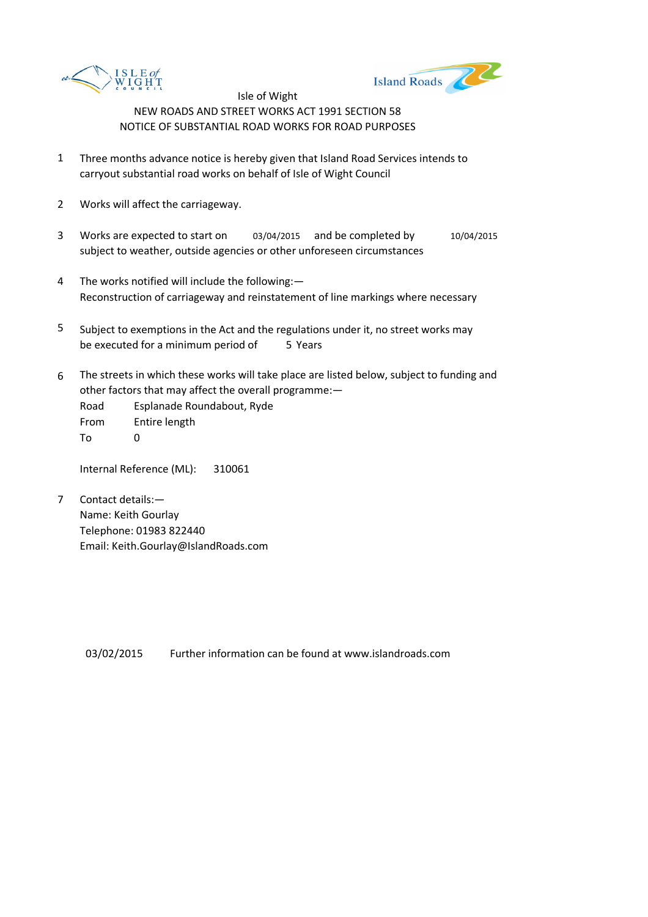



- 1 Three months advance notice is hereby given that Island Road Services intends to carryout substantial road works on behalf of Isle of Wight Council
- 2 Works will affect the carriageway.
- 3 Works are expected to start on 03/04/2015 and be completed by 10/04/2015 subject to weather, outside agencies or other unforeseen circumstances
- 4 The works notified will include the following:— Reconstruction of carriageway and reinstatement of line markings where necessary
- 5 be executed for a minimum period of 5 Years Subject to exemptions in the Act and the regulations under it, no street works may
- 6 The streets in which these works will take place are listed below, subject to funding and other factors that may affect the overall programme:—

Road Esplanade Roundabout, Ryde From Entire length  $T<sub>0</sub>$  0

Internal Reference (ML): 310061

7 Contact details:— Name: Keith Gourlay Telephone: 01983 822440 Email: Keith.Gourlay@IslandRoads.com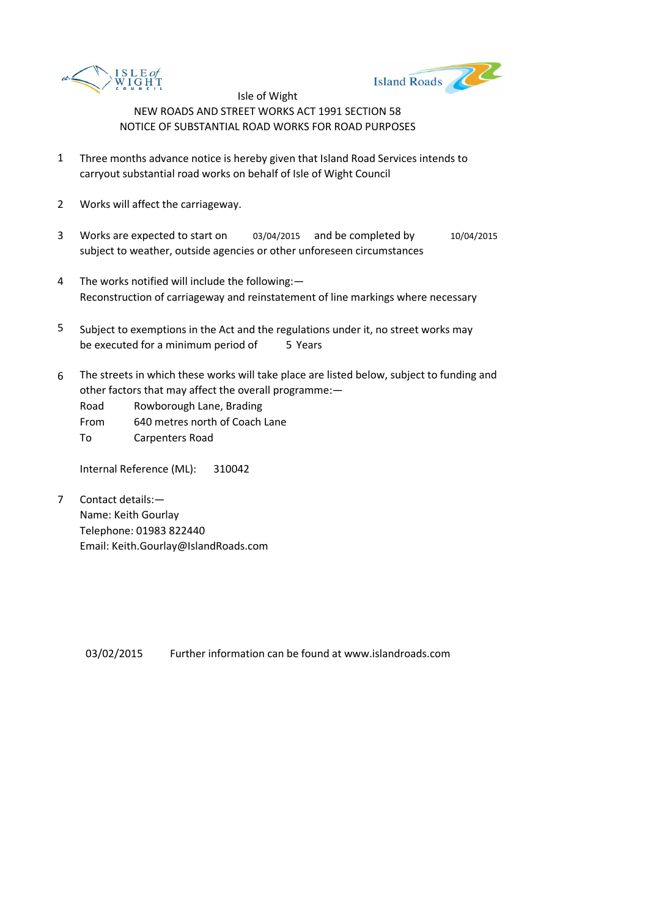



- 1 Three months advance notice is hereby given that Island Road Services intends to carryout substantial road works on behalf of Isle of Wight Council
- 2 Works will affect the carriageway.
- 3 Works are expected to start on 03/04/2015 and be completed by 10/04/2015 subject to weather, outside agencies or other unforeseen circumstances
- 4 The works notified will include the following:— Reconstruction of carriageway and reinstatement of line markings where necessary
- 5 be executed for a minimum period of 5 Years Subject to exemptions in the Act and the regulations under it, no street works may
- 6 The streets in which these works will take place are listed below, subject to funding and other factors that may affect the overall programme:—

Road Rowborough Lane, Brading

From 640 metres north of Coach Lane

To Carpenters Road

Internal Reference (ML): 310042

7 Contact details:— Name: Keith Gourlay Telephone: 01983 822440 Email: Keith.Gourlay@IslandRoads.com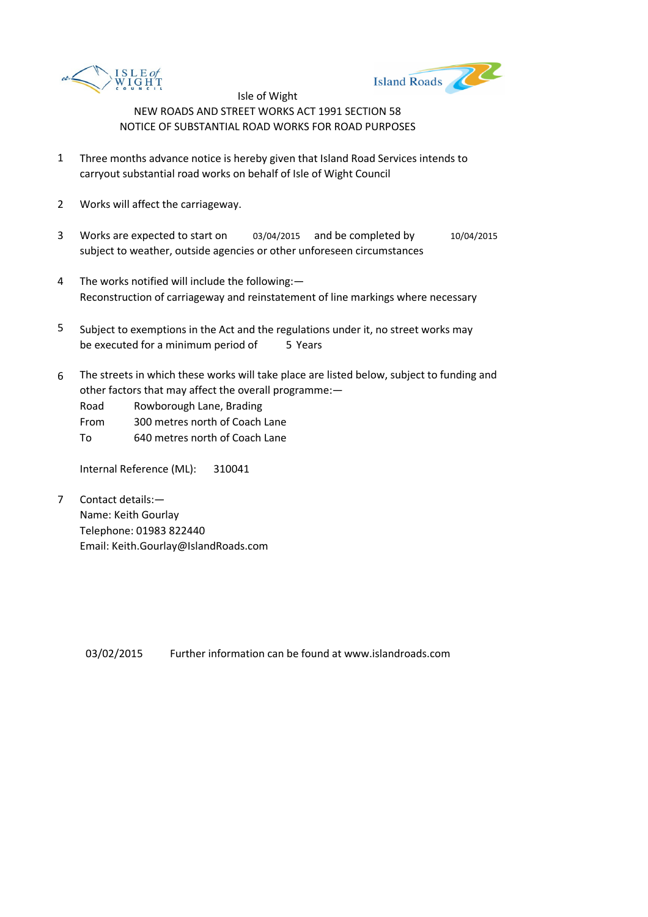



- 1 Three months advance notice is hereby given that Island Road Services intends to carryout substantial road works on behalf of Isle of Wight Council
- 2 Works will affect the carriageway.
- 3 Works are expected to start on 03/04/2015 and be completed by 10/04/2015 subject to weather, outside agencies or other unforeseen circumstances
- 4 The works notified will include the following:— Reconstruction of carriageway and reinstatement of line markings where necessary
- 5 be executed for a minimum period of 5 Years Subject to exemptions in the Act and the regulations under it, no street works may
- 6 The streets in which these works will take place are listed below, subject to funding and other factors that may affect the overall programme:—

Road Rowborough Lane, Brading

From 300 metres north of Coach Lane

To 640 metres north of Coach Lane

Internal Reference (ML): 310041

7 Contact details:— Name: Keith Gourlay Telephone: 01983 822440 Email: Keith.Gourlay@IslandRoads.com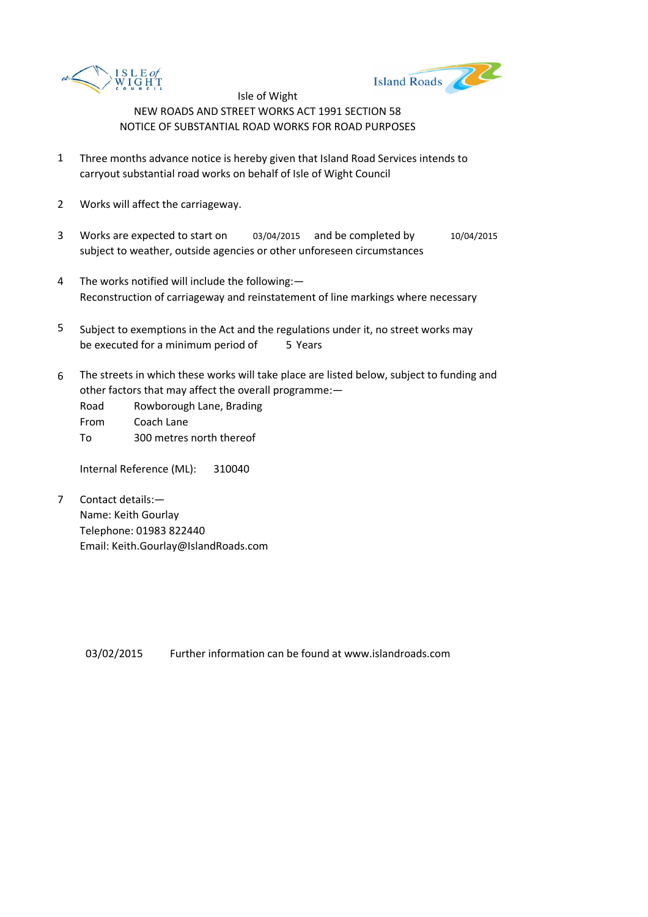



- 1 Three months advance notice is hereby given that Island Road Services intends to carryout substantial road works on behalf of Isle of Wight Council
- 2 Works will affect the carriageway.
- 3 Works are expected to start on 03/04/2015 and be completed by 10/04/2015 subject to weather, outside agencies or other unforeseen circumstances
- 4 The works notified will include the following:— Reconstruction of carriageway and reinstatement of line markings where necessary
- 5 be executed for a minimum period of 5 Years Subject to exemptions in the Act and the regulations under it, no street works may
- 6 The streets in which these works will take place are listed below, subject to funding and other factors that may affect the overall programme:—
	- Road Rowborough Lane, Brading
	- From Coach Lane
	- To 300 metres north thereof

Internal Reference (ML): 310040

7 Contact details:— Name: Keith Gourlay Telephone: 01983 822440 Email: Keith.Gourlay@IslandRoads.com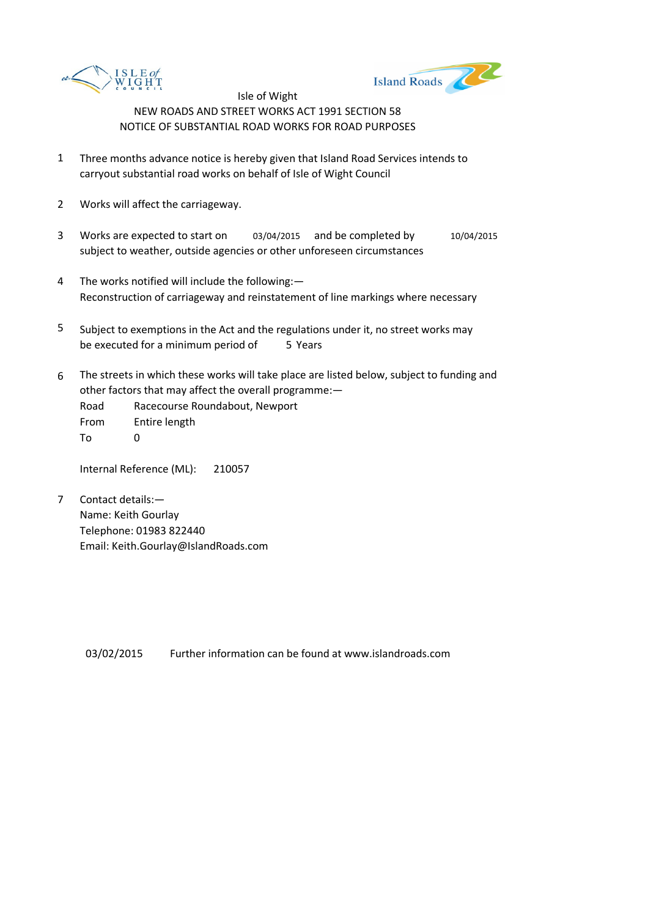



- 1 Three months advance notice is hereby given that Island Road Services intends to carryout substantial road works on behalf of Isle of Wight Council
- 2 Works will affect the carriageway.
- 3 Works are expected to start on 03/04/2015 and be completed by 10/04/2015 subject to weather, outside agencies or other unforeseen circumstances
- 4 The works notified will include the following:— Reconstruction of carriageway and reinstatement of line markings where necessary
- 5 be executed for a minimum period of 5 Years Subject to exemptions in the Act and the regulations under it, no street works may
- 6 The streets in which these works will take place are listed below, subject to funding and other factors that may affect the overall programme:—

Road Racecourse Roundabout, Newport From Entire length  $T<sub>0</sub>$  0

Internal Reference (ML): 210057

7 Contact details:— Name: Keith Gourlay Telephone: 01983 822440 Email: Keith.Gourlay@IslandRoads.com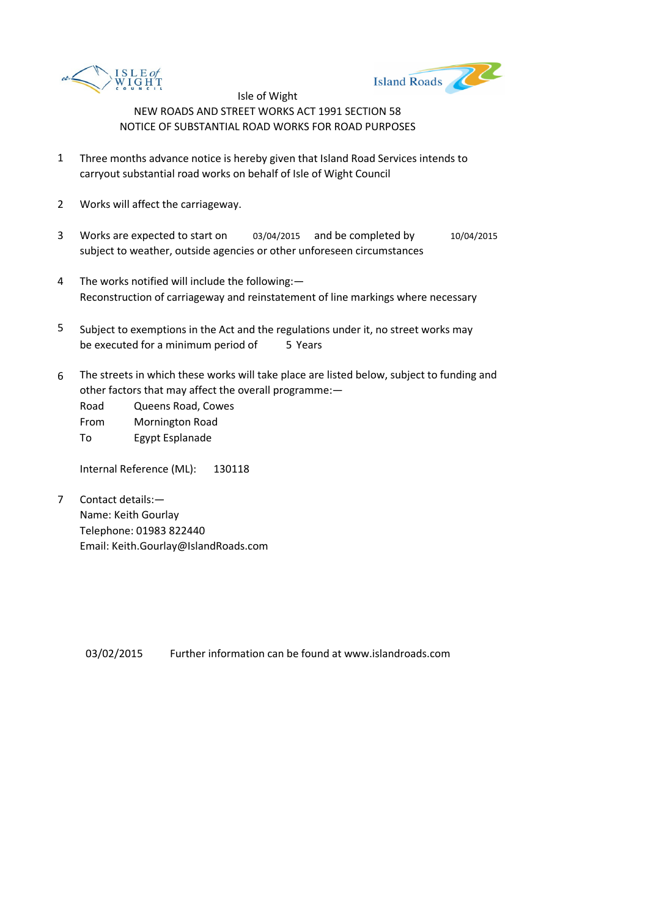



- 1 Three months advance notice is hereby given that Island Road Services intends to carryout substantial road works on behalf of Isle of Wight Council
- 2 Works will affect the carriageway.
- 3 Works are expected to start on 03/04/2015 and be completed by 10/04/2015 subject to weather, outside agencies or other unforeseen circumstances
- 4 The works notified will include the following:— Reconstruction of carriageway and reinstatement of line markings where necessary
- 5 be executed for a minimum period of 5 Years Subject to exemptions in the Act and the regulations under it, no street works may
- 6 The streets in which these works will take place are listed below, subject to funding and other factors that may affect the overall programme:—

Road Queens Road, Cowes From Mornington Road To Egypt Esplanade

Internal Reference (ML): 130118

7 Contact details:— Name: Keith Gourlay Telephone: 01983 822440 Email: Keith.Gourlay@IslandRoads.com